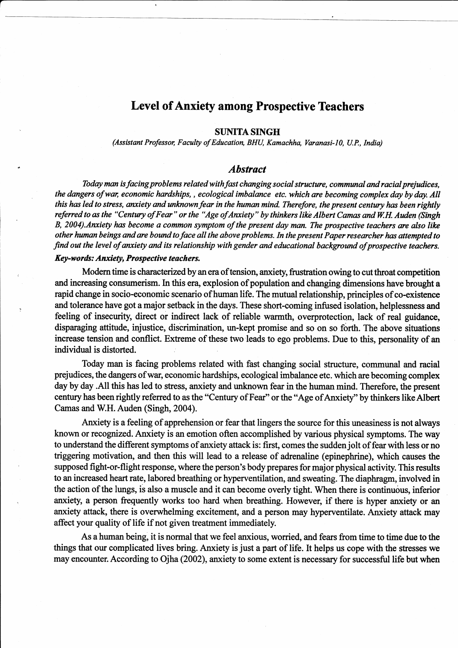# Level of Anxiety among Prospective Teachers

### SUNITA SINGH

(Assistant Professor, Faculty of Education, BHU, Kamachha, Varanasi-10, U.P., India)

# Abstract

Today man is facing problems related with fast changing social structure, communal and racial prejudices, the dangers of war, economic hardships,, ecological imbalance etc. which are becoming complex day by day. All this has led to stress, anxiety and unknown fear in the human mind. Therefore, the present century has been rightly referred to as the "Century of Fear" or the "Age of Anxiety" by thinkers like Albert Camas and W.H. Auden (Singh B, 2004). Anxiety has become a common symptom of the present day man. The prospective teachers are also like other human beings and are bound to face all the above problems. In the present Paper researcher has attempted to find out the level of anxiety and its relationship with gender and educational background of prospective teachers.

### Key-words: Anxiety, Prospective teachers.

Modern time is characterized by an era of tension, anxiety, frustration owing to cut throat competition and increasing consumerism. In this era, explosion of population and changing dimensions have brought a rapid change in socio-economic scenario of human life. The mutual relationship, principles of co-existence and tolerance have got a major setback in the days. These short-coming infused isolation, helplessness and feeling of insecurity, direct or indirect lack of reliable warmth, overprotection, lack of real guidance, disparaging attitude, injustice, discrimination, un-kept promise and so on so forth. The above situations increase tension and conflict. Extreme of these two leads to ego problems. Due to this, personality of an individual is distorted

Today man is facing problems related with fast changing social structure, communal and racial prejudices, the dangers of war, economic hardships, ecological imbalance etc. which are becoming complex day by day .All this has led to sfress, anxiety and unknown fear in the human mind. Therefore, the present century has been rightly referred to as the "Century of Fear" or the "Age of Anxiety" by thinkers like Albert Camas and W.H. Auden (Singh, 2004).

Anxiety is a feeling of apprehension or fear that lingers the source for this uneasiness is not always known or recognized. Anxiety is an emotion often accomplished by various physical symptoms. The way to understand the different symptoms of anxiety attack is: first, comes the sudden jolt of fear with less or no tiggering motivation, and then this will lead to a release of adrenaline (epinephrine), which causes the supposed fight-or-flight response, where the person's body prepares for major physical activity. This results to an increased heart rate, labored breathing or hyperventilation, and sweating. The diaphragm, involved in the action of the lungs, is also a muscle and it can become overly tight. When there is continuous, inferior anxiety, a person frequently works too hard when breathing. However, if there is hyper anxiety or an anxiety attack, there is overwhelming excitement, and a person may hyperventilate. Anxiety attack may affect your quality of life if not given treatment immediately.

As a human being, it is normal that we feel anxious, worried, and fears from time to time due to the things that our complicated lives bring. Anxiety is just a part of life. It helps us cope with the stresses we may encounter. According to Ojha (2002), anxiety to some extent is necessary for successful life but when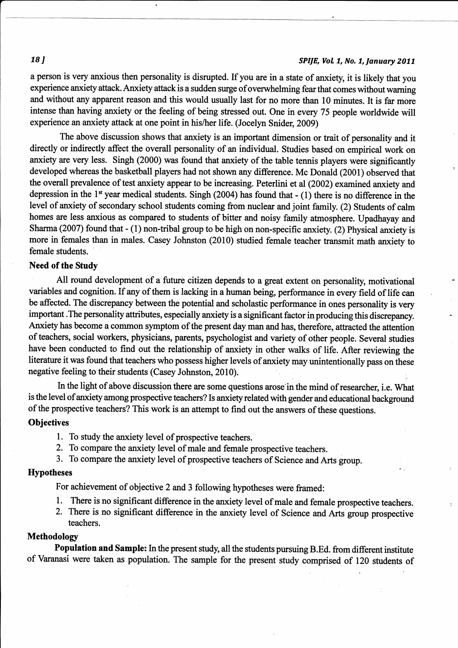# **18** J SPIJE, Vol. 1, No. 1, January 2011

<sup>a</sup>person is very anxious then personality is disrupted. If you are in a state of anxiety, it is likely that you experience anxiety attack. Anxiety attack is a sudden surge of overwhelming fear that comes without warning and without any apparent reason and this would usually last for no more than 10 minutes. It is far more intense than having anxiety or the feeling of being stressed out. One in every 75 people worldwide will experience an anxiety attack at one point in his/her life. (Jocelyn Snider, 20Og)

The above discussion shows that anxiety is an important dimension or trait of personality and it directly or indirectly affect the overall personality of an individual. Studies based on empirical work on anxiety are very less. Singh (2000) was found that anxiety of the table tennis players were significantly developed whereas the basketball players had not shown any difference. Mc Donald (2001) observed that the overall prevalence of test anxiety appear to be increasing. Peterlini et al (2002) examined anxiety and depression in the  $1<sup>st</sup>$  year medical students. Singh (2004) has found that - (1) there is no difference in the level of anxiety of secondary school students coming from nuclear and joint family. (2) Students of calm homes are less anxious as compared to students of bitter and noisy family atmosphere. Upadhayay and Sharma (2007) found that - (1) non-tribal group to be high on non-specific anxiety. (2) Physical anxiety is more in females than in males. Casey Johnston (2010) studied female teacher transmit math anxiety to female students.

# Need of the Study

All round development of a future citizen depends to a great extent on personality, motivational variables and cognition. If any of them is lacking in a human being, performance in every field of life can be affected. The discrepancy between the potential and scholastic performance in ones personality is very important . The personality attributes, especially anxiety is a significant factor in producing this discrepancy. Anxiety has become a common symptom of the present day man and has, therefore, attracted the attention of teachers, social workers, physicians, parents, psychologist and variety of other people. Several studies have been conducted to find out the relationship of anxiety in other walks of life. After reviewing the literature it was found that teachers who possess higher levels of anxiety may unintentionally pass on these negative feeling to their students (Casey Johnston,20l0).

In the light of above discussion there are some questions arose in the mind of researcher, i.e. What is the level of anxiety among prospective teachers? Is anxiety related with gender and educational background of the prospective teachers? This work is an attempt to find out the answers of these questions.

# **Objectives**

- l. To study the anxiety level of prospective teachers.
- 2. To compare the anxiety level of male and female prospective teachers.
- 3. To compare the anxiety level of prospective teachers of Science and Arts group.

# Hypotheses

For achievement of objective 2 and 3 following hypotheses were framed:

- 1. There is no significant difference in the anxiety level of male and female prospective teachers.
- 2. There is no significant difference in the anxiety level of Science and Arts goup prospective teachers.

# Methodology

Population and Sample: In the present study, all the students pursuing B.Ed. from different institute of Varanasi were taken as population. The sample for the present study comprised of 120 students of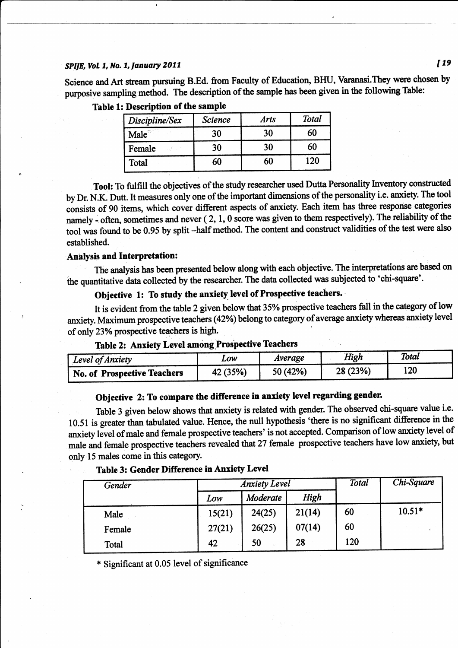### SPIJE, Vol. 1, No. 1, January 2011

Science and Art stream pursuing B.Ed. from Faculty of Education, BHU, Varanasi. They were chosen by purposive sampling method. The description of the sample has been given in the following Table:

| Discipline/Sex | <b>Science</b> | <b>Arts</b> | Total<br>60<br>60 |  |
|----------------|----------------|-------------|-------------------|--|
| $Male^{\circ}$ | 30             | 30          |                   |  |
| Female         | 30             | 30          |                   |  |
| Total          | 60             | 60          | 120               |  |

Table 1: Description of the sample

Tool: To fulfill the objectives of the study researcher used Dutta Personality Inventory constructed by Dr. N.K. Dutt. It measures only one of the important dimensions of the personality i.e. anxiety. The tool consists of 90 items, which cover different aspects of anxiety. Each item has three response categories namely - often, sometimes and never  $(2, 1, 0)$  score was given to them respectively). The reliability of the tool was found to be 0.95 by split-half method. The content and construct validities of the test were also established.

#### **Analysis and Interpretation:**

The analysis has been presented below along with each objective. The interpretations are based on the quantitative data collected by the researcher. The data collected was subjected to 'chi-square'.

# Objective 1: To study the anxiety level of Prospective teachers.

It is evident from the table 2 given below that 35% prospective teachers fall in the category of low anxiety. Maximum prospective teachers (42%) belong to category of average anxiety whereas anxiety level of only 23% prospective teachers is high.

| Level of Anxiety                   | LOW      | Average  | High     | Total |
|------------------------------------|----------|----------|----------|-------|
| <b>No. of Prospective Teachers</b> | 42 (35%) | 50 (42%) | 28 (23%) | 120   |

# Table 2: Anxiety Level among Prospective Teachers

# Objective 2: To compare the difference in anxiety level regarding gender.

Table 3 given below shows that anxiety is related with gender. The observed chi-square value i.e. 10.51 is greater than tabulated value. Hence, the null hypothesis 'there is no significant difference in the anxiety level of male and female prospective teachers' is not accepted. Comparison of low anxiety level of male and female prospective teachers revealed that 27 female prospective teachers have low anxiety, but only 15 males come in this category.

|  |  | <b>Table 3: Gender Difference in Anxiety Level</b> |  |  |
|--|--|----------------------------------------------------|--|--|
|--|--|----------------------------------------------------|--|--|

| Gender | <b>Anxiety Level</b> |          |        | <b>Total</b> | Chi-Square |
|--------|----------------------|----------|--------|--------------|------------|
|        | Low                  | Moderate | High   |              |            |
| Male   | 15(21)               | 24(25)   | 21(14) | 60           | $10.51*$   |
| Female | 27(21)               | 26(25)   | 07(14) | 60           |            |
| Total  | 42                   | 50       | 28     | 120          |            |

\* Significant at 0.05 level of significance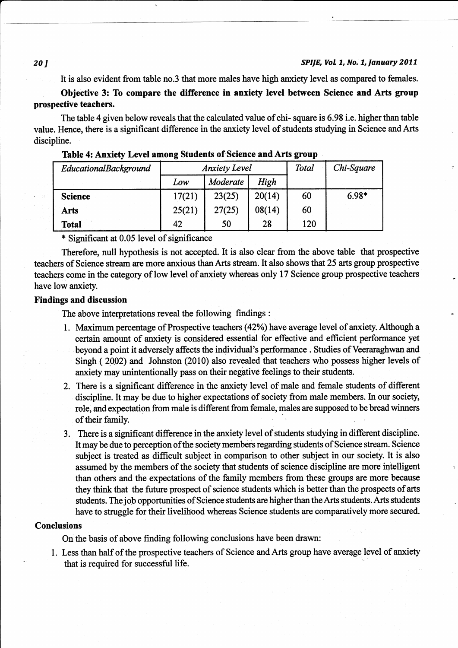### SPIJE, Vol. 1, No. 1, January 2011

It is also evident from table no.3 that more males have high anxiety level as compared to females.

Objective 3: To compare the difference in anxiety level between Science and Arts group prospective teachers.

The table 4 given below reveals that the calculated value of chi- square is 6.98 i.e. higher than table value. Hence, there is a significant difference in the anxiety level of students studying in Science and Arts discipline.

| EducationalBackground | <b>Anxiety Level</b> |          |        | Total | Chi-Square |
|-----------------------|----------------------|----------|--------|-------|------------|
|                       | Low                  | Moderate | High   |       |            |
| <b>Science</b>        | 17(21)               | 23(25)   | 20(14) | 60    | $6.98*$    |
| Arts                  | 25(21)               | 27(25)   | 08(14) | 60    |            |
| <b>Total</b>          | 42                   | 50       | 28     | 120   |            |

### Table 4: Anxiety Level among Students of Science and Arts group

\* Significant at 0.05 level of significance

Therefore, null hypothesis is not accepted. It is also clear from the above table that prospective teachers of Science stream are more anxious than Arts stream. It also shows that 25 arts group prospective teachers come in the category of low level of anxiety whereas only 17 Science group prospective teachers have low anxiety.

# **Findings and discussion**

The above interpretations reveal the following findings :

- 1. Maximum percentage of Prospective teachers (42%) have average level of anxiety. Although a certain amount of anxiety is considered essential for effective and efficient performance yet beyond a point it adversely affects the individual's performance . Studies of Veeraraghwan and Singh (2002) and Johnston (2010) also revealed that teachers who possess higher levels of anxiety may unintentionally pass on their negative feelings to their students.
- 2. There is a significant difference in the amiety level of male and female students of different discipline. It may be due to higher expectations of society from male members. In our society, role, and expectation from male is different from female, males are supposed to be bread winners of their family.
- 3. There is a significant difference in the anxiety level of students studying in different discipline. It may be due to perception of the society members regarding students of Science stream. Science subject is teated as difficult subject in comparison to other subject in our society. It is also assumed by the members of the society that students of science discipline are more intelligent than others and the expectations of the family members from these groups are more because they think that the future prospect of science students which is better than the prospects of arts students. The job opportunities of Science students are higher than the Arts students. Arts students have to struggle for their livelihood whereas Science students are comparatively more secured.

### **Conclusions**

On the basis of above finding following conclusions have been drawn:

1. Less than half of the prospective teachers of Science and Arts group have average level of anxiety that is required for successful life.

### 20]